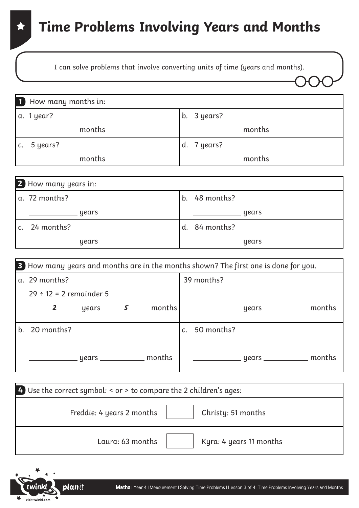I can solve problems that involve converting units of time (years and months).

| 1 How many months in: |                       |
|-----------------------|-----------------------|
| a. 1 year?            | b. $3 \text{ years?}$ |
| months                | months                |
| c. $5$ years?         | d. 7 years?           |
| months                | months                |
|                       |                       |

| 2 How many years in: |                 |
|----------------------|-----------------|
| a. 72 months?        | b. $48$ months? |
| years                | years           |
| c. $24$ months?      | d. 84 months?   |
| years                | years           |

|         | B How many years and months are in the months shown? The first one is done for you. |                                                        |  |  |                  |  |
|---------|-------------------------------------------------------------------------------------|--------------------------------------------------------|--|--|------------------|--|
|         | a. 29 months?                                                                       |                                                        |  |  | 39 months?       |  |
|         | $29 \div 12 = 2$ remainder 5                                                        |                                                        |  |  |                  |  |
|         |                                                                                     | $\frac{2}{\sqrt{2}}$ years $\frac{5}{\sqrt{2}}$ months |  |  |                  |  |
| $b_{-}$ | 20 months?                                                                          |                                                        |  |  | 50 months?<br>C. |  |
|         |                                                                                     | __ years ___________ months                            |  |  |                  |  |

| 4. Use the correct symbol: $\le$ or $>$ to compare the 2 children's ages: |                         |  |  |
|---------------------------------------------------------------------------|-------------------------|--|--|
| Freddie: 4 years 2 months                                                 | Christy: 51 months      |  |  |
| Laura: 63 months                                                          | Kyra: 4 years 11 months |  |  |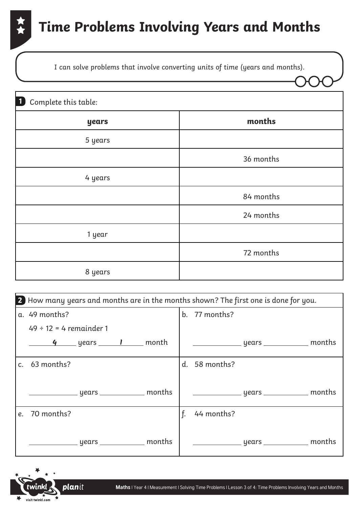I can solve problems that involve converting units of time (years and months).

| 1 Complete this table: |           |
|------------------------|-----------|
| years                  | months    |
| 5 years                |           |
|                        | 36 months |
| 4 years                |           |
|                        | 84 months |
|                        | 24 months |
| 1 year                 |           |
|                        | 72 months |
| 8 years                |           |

|    | 2 How many years and months are in the months shown? The first one is done for you. |                  |  |  |  |
|----|-------------------------------------------------------------------------------------|------------------|--|--|--|
|    | a. 49 months?                                                                       | b. 77 months?    |  |  |  |
|    | $49 \div 12 = 4$ remainder 1                                                        |                  |  |  |  |
|    | <u>4</u> years <u>I</u> month                                                       |                  |  |  |  |
|    | c. $63$ months?                                                                     | d. 58 months?    |  |  |  |
|    | _____________ years _____________ months                                            |                  |  |  |  |
| e. | 70 months?                                                                          | f.<br>44 months? |  |  |  |
|    | ____ years ___________ months                                                       |                  |  |  |  |

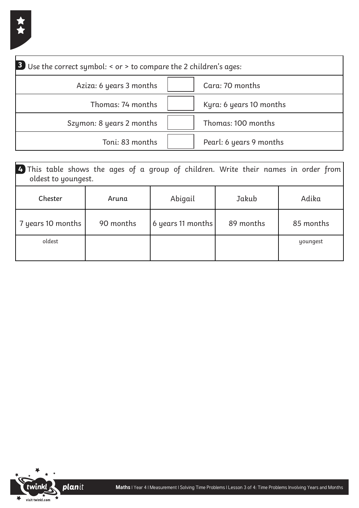| 3 Use the correct symbol: < or > to compare the 2 children's ages: |                         |
|--------------------------------------------------------------------|-------------------------|
| Aziza: 6 years 3 months                                            | Cara: 70 months         |
| Thomas: 74 months                                                  | Kyra: 6 years 10 months |
| Szymon: 8 years 2 months                                           | Thomas: 100 months      |
| Toni: 83 months                                                    | Pearl: 6 years 9 months |

| 4) This table shows the ages of a group of children. Write their names in order from<br>oldest to youngest. |           |                   |           |           |  |
|-------------------------------------------------------------------------------------------------------------|-----------|-------------------|-----------|-----------|--|
| Chester                                                                                                     | Aruna     | Abigail           | Jakub     | Adika     |  |
| 7 years 10 months                                                                                           | 90 months | 6 years 11 months | 89 months | 85 months |  |
| oldest                                                                                                      |           |                   |           | youngest  |  |
|                                                                                                             |           |                   |           |           |  |

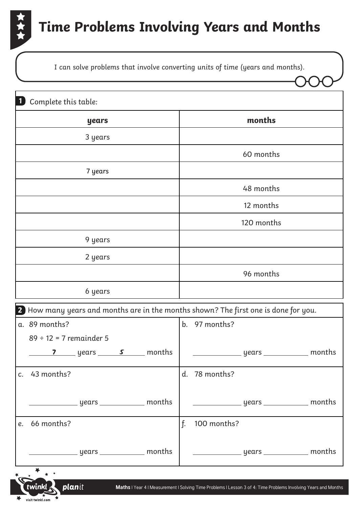

I can solve problems that involve converting units of time (years and months).

| $\mathbf{1}$<br>Complete this table:                                                                                            |                                                                                                                |
|---------------------------------------------------------------------------------------------------------------------------------|----------------------------------------------------------------------------------------------------------------|
| years                                                                                                                           | months                                                                                                         |
| 3 years                                                                                                                         |                                                                                                                |
|                                                                                                                                 | 60 months                                                                                                      |
| 7 years                                                                                                                         |                                                                                                                |
|                                                                                                                                 | 48 months                                                                                                      |
|                                                                                                                                 | 12 months                                                                                                      |
|                                                                                                                                 | 120 months                                                                                                     |
| 9 years                                                                                                                         |                                                                                                                |
| 2 years                                                                                                                         |                                                                                                                |
|                                                                                                                                 | 96 months                                                                                                      |
| 6 years                                                                                                                         |                                                                                                                |
| 2 How many years and months are in the months shown? The first one is done for you.                                             |                                                                                                                |
| a. 89 months?                                                                                                                   | 97 months?<br>$\mathbf{b}$ .                                                                                   |
| $89 \div 12 = 7$ remainder 5                                                                                                    |                                                                                                                |
| <b>7</b> years <u>s</u> months                                                                                                  | ___________ years _____________ months                                                                         |
| c. 43 months?                                                                                                                   | d. 78 months?                                                                                                  |
|                                                                                                                                 |                                                                                                                |
|                                                                                                                                 |                                                                                                                |
| 66 months?<br>e.                                                                                                                | f.<br>100 months?                                                                                              |
|                                                                                                                                 |                                                                                                                |
|                                                                                                                                 |                                                                                                                |
| twinkl planit<br>and the state of the state of the state of the state of the state of the state of the state of the state of th | Maths   Year 4   Measurement   Solving Time Problems   Lesson 3 of 4: Time Problems Involving Years and Months |

visit twinkl.com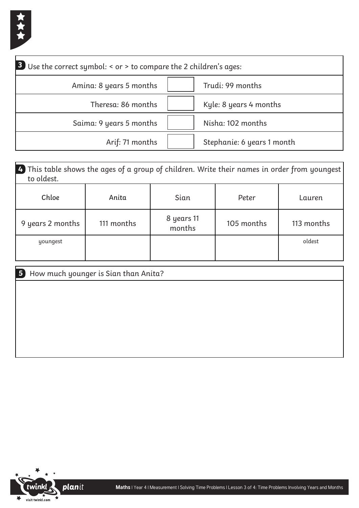

| 3 Use the correct symbol: < or > to compare the 2 children's ages: |                            |
|--------------------------------------------------------------------|----------------------------|
| Amina: 8 years 5 months                                            | Trudi: 99 months           |
| Theresa: 86 months                                                 | Kyle: 8 years 4 months     |
| Saima: 9 years 5 months                                            | Nisha: 102 months          |
| Arif: 71 months                                                    | Stephanie: 6 years 1 month |

| $\vert$ 4. This table shows the ages of a group of children. Write their names in order from youngest<br>to oldest. |            |                      |            |            |  |
|---------------------------------------------------------------------------------------------------------------------|------------|----------------------|------------|------------|--|
| Chloe                                                                                                               | Anita      | Sian                 | Peter      | Lauren     |  |
| 9 years 2 months                                                                                                    | 111 months | 8 years 11<br>months | 105 months | 113 months |  |
| youngest                                                                                                            |            |                      |            | oldest     |  |
|                                                                                                                     |            |                      |            |            |  |

| 5 How much younger is Sian than Anita? |
|----------------------------------------|
|                                        |
|                                        |
|                                        |
|                                        |
|                                        |
|                                        |

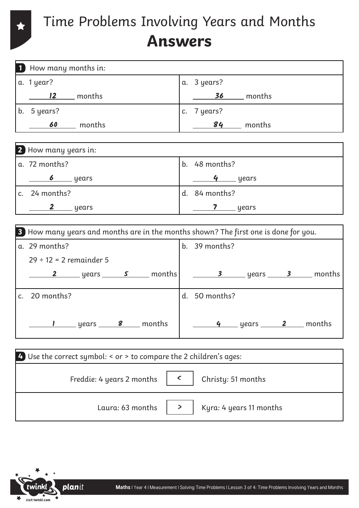## Time Problems Involving Years and Months **Answers**

|                                                                  | 1 How many months in:                                                               |  |                                                                                                               |  |  |  |  |  |  |  |
|------------------------------------------------------------------|-------------------------------------------------------------------------------------|--|---------------------------------------------------------------------------------------------------------------|--|--|--|--|--|--|--|
|                                                                  | a. 1 year?                                                                          |  | a. 3 years?                                                                                                   |  |  |  |  |  |  |  |
|                                                                  | <u>2</u> months                                                                     |  | <u>36</u> months                                                                                              |  |  |  |  |  |  |  |
|                                                                  | b. 5 years?                                                                         |  | c. 7 years?                                                                                                   |  |  |  |  |  |  |  |
|                                                                  | 60 months                                                                           |  | $84$ months                                                                                                   |  |  |  |  |  |  |  |
|                                                                  |                                                                                     |  |                                                                                                               |  |  |  |  |  |  |  |
|                                                                  | 2 How many years in:                                                                |  |                                                                                                               |  |  |  |  |  |  |  |
|                                                                  | a. 72 months?                                                                       |  | b. 48 months?                                                                                                 |  |  |  |  |  |  |  |
|                                                                  |                                                                                     |  | <u>4</u> years                                                                                                |  |  |  |  |  |  |  |
|                                                                  | c. 24 months?                                                                       |  | d. 84 months?                                                                                                 |  |  |  |  |  |  |  |
|                                                                  | <u>2</u> years                                                                      |  | $\frac{1}{\sqrt{2}}$ years                                                                                    |  |  |  |  |  |  |  |
|                                                                  |                                                                                     |  |                                                                                                               |  |  |  |  |  |  |  |
|                                                                  | 3 How many years and months are in the months shown? The first one is done for you. |  |                                                                                                               |  |  |  |  |  |  |  |
|                                                                  | a. 29 months?                                                                       |  | b. 39 months?                                                                                                 |  |  |  |  |  |  |  |
|                                                                  | $29 \div 12 = 2$ remainder 5                                                        |  |                                                                                                               |  |  |  |  |  |  |  |
|                                                                  |                                                                                     |  | <u>2</u> _____ years ______ <b>s</b> _____ months   ________ <b>3</b> _____ years ______ <b>3</b> ____ months |  |  |  |  |  |  |  |
|                                                                  | c. 20 months?                                                                       |  | d. 50 months?                                                                                                 |  |  |  |  |  |  |  |
|                                                                  | <u>I</u> years <u>8</u> months                                                      |  |                                                                                                               |  |  |  |  |  |  |  |
|                                                                  |                                                                                     |  |                                                                                                               |  |  |  |  |  |  |  |
| Use the correct symbol: < or > to compare the 2 children's ages: |                                                                                     |  |                                                                                                               |  |  |  |  |  |  |  |
|                                                                  | $\langle$<br>Freddie: 4 years 2 months<br>Christy: 51 months                        |  |                                                                                                               |  |  |  |  |  |  |  |
|                                                                  | Laura: 63 months<br>Kyra: 4 years 11 months<br>$\geq$                               |  |                                                                                                               |  |  |  |  |  |  |  |



 $\star$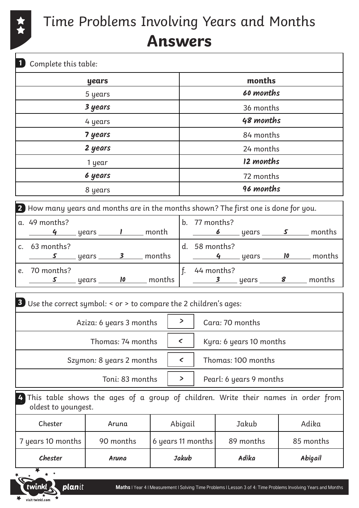

 $\frac{1}{\sqrt{1+\frac{1}{2}}}\sqrt{\frac{1}{1+\frac{1}{2}}\sqrt{\frac{1}{2}}}}$ 

Time Problems Involving Years and Months **Answers**

| Complete this table:                                                                                          |                                 |  |       |                                   |                                         |           |  |  |           |                                                                                                                |  |           |
|---------------------------------------------------------------------------------------------------------------|---------------------------------|--|-------|-----------------------------------|-----------------------------------------|-----------|--|--|-----------|----------------------------------------------------------------------------------------------------------------|--|-----------|
| years                                                                                                         |                                 |  |       | months                            |                                         |           |  |  |           |                                                                                                                |  |           |
|                                                                                                               | 5 years                         |  |       |                                   | 60 months                               |           |  |  |           |                                                                                                                |  |           |
|                                                                                                               | 3 years<br>4 years              |  |       |                                   | 36 months<br>48 months                  |           |  |  |           |                                                                                                                |  |           |
|                                                                                                               |                                 |  |       |                                   |                                         |           |  |  |           |                                                                                                                |  |           |
| 7 years<br>2 years<br>1 year                                                                                  |                                 |  |       | 84 months<br>24 months            |                                         |           |  |  |           |                                                                                                                |  |           |
|                                                                                                               |                                 |  |       |                                   |                                         |           |  |  |           |                                                                                                                |  | 12 months |
|                                                                                                               |                                 |  |       |                                   | 6 years                                 |           |  |  | 72 months |                                                                                                                |  |           |
|                                                                                                               | 8 years                         |  |       | 96 months                         |                                         |           |  |  |           |                                                                                                                |  |           |
| 2 How many years and months are in the months shown? The first one is done for you.                           |                                 |  |       |                                   |                                         |           |  |  |           |                                                                                                                |  |           |
| a. 49 months?                                                                                                 | 4 years <u>I</u> month          |  |       |                                   | b. 77 months?                           |           |  |  |           |                                                                                                                |  |           |
| c. 63 months?                                                                                                 | <u>s</u> years 3 months         |  |       |                                   | d. 58 months?                           |           |  |  |           | <u>4</u> years 10 months                                                                                       |  |           |
| e. 70 months?                                                                                                 | <u>s</u> years <b>10</b> months |  |       |                                   | $f.$ 44 months?                         |           |  |  |           | <u>3</u> years <u>8</u> months                                                                                 |  |           |
| <b>3</b> Use the correct symbol: < or > to compare the 2 children's ages:                                     |                                 |  |       |                                   |                                         |           |  |  |           |                                                                                                                |  |           |
| Aziza: 6 years 3 months $\vert$ > $\vert$ Cara: 70 months                                                     |                                 |  |       |                                   |                                         |           |  |  |           |                                                                                                                |  |           |
| Thomas: 74 months                                                                                             |                                 |  |       |                                   | $\checkmark$<br>Kyra: 6 years 10 months |           |  |  |           |                                                                                                                |  |           |
| Szymon: 8 years 2 months                                                                                      |                                 |  |       |                                   | $\checkmark$<br>Thomas: 100 months      |           |  |  |           |                                                                                                                |  |           |
| Toni: 83 months                                                                                               |                                 |  |       | $\geq$<br>Pearl: 6 years 9 months |                                         |           |  |  |           |                                                                                                                |  |           |
| This table shows the ages of a group of children. Write their names in order from<br>4<br>oldest to youngest. |                                 |  |       |                                   |                                         |           |  |  |           |                                                                                                                |  |           |
| Chester                                                                                                       | Aruna                           |  |       | Abigail                           |                                         | Jakub     |  |  | Adika     |                                                                                                                |  |           |
| 7 years 10 months                                                                                             | 90 months                       |  |       | 6 years 11 months                 |                                         | 89 months |  |  | 85 months |                                                                                                                |  |           |
| Chester                                                                                                       | Aruna                           |  | Jakub |                                   |                                         | Adika     |  |  | Abigail   |                                                                                                                |  |           |
|                                                                                                               |                                 |  |       |                                   |                                         |           |  |  |           |                                                                                                                |  |           |
| <b>planit</b><br>twinkl                                                                                       |                                 |  |       |                                   |                                         |           |  |  |           | Maths   Year 4   Measurement   Solving Time Problems   Lesson 3 of 4: Time Problems Involving Years and Months |  |           |